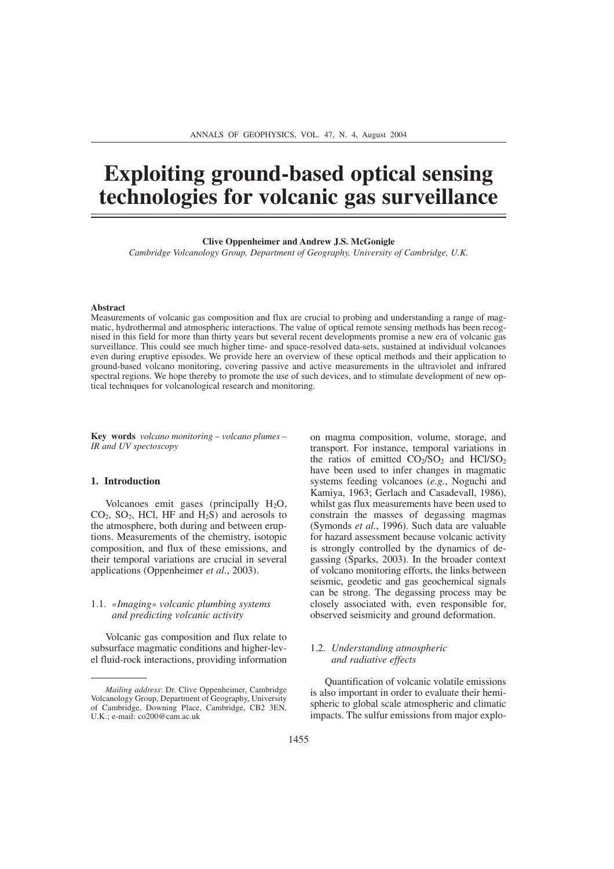# **Exploiting ground-based optical sensing technologies for volcanic gas surveillance**

**Clive Oppenheimer and Andrew J.S. McGonigle**

*Cambridge Volcanology Group, Department of Geography, University of Cambridge, U.K.*

#### **Abstract**

Measurements of volcanic gas composition and flux are crucial to probing and understanding a range of magmatic, hydrothermal and atmospheric interactions. The value of optical remote sensing methods has been recognised in this field for more than thirty years but several recent developments promise a new era of volcanic gas surveillance. This could see much higher time- and space-resolved data-sets, sustained at individual volcanoes even during eruptive episodes. We provide here an overview of these optical methods and their application to ground-based volcano monitoring, covering passive and active measurements in the ultraviolet and infrared spectral regions. We hope thereby to promote the use of such devices, and to stimulate development of new optical techniques for volcanological research and monitoring.

**Key words** *volcano monitoring – volcano plumes – IR and UV spectoscopy*

# **1. Introduction**

Volcanoes emit gases (principally  $H_2O$ ,  $CO<sub>2</sub>$ ,  $SO<sub>2</sub>$ , HCl, HF and H<sub>2</sub>S) and aerosols to the atmosphere, both during and between eruptions. Measurements of the chemistry, isotopic composition, and flux of these emissions, and their temporal variations are crucial in several applications (Oppenheimer *et al.*, 2003).

## 1.1. *«Imaging» volcanic plumbing systems and predicting volcanic activity*

Volcanic gas composition and flux relate to subsurface magmatic conditions and higher-level fluid-rock interactions, providing information on magma composition, volume, storage, and transport. For instance, temporal variations in the ratios of emitted  $CO<sub>2</sub>/SO<sub>2</sub>$  and  $HC<sub>1</sub>/SO<sub>2</sub>$ have been used to infer changes in magmatic systems feeding volcanoes (*e.g.*, Noguchi and Kamiya, 1963; Gerlach and Casadevall, 1986), whilst gas flux measurements have been used to constrain the masses of degassing magmas (Symonds *et al.*, 1996). Such data are valuable for hazard assessment because volcanic activity is strongly controlled by the dynamics of degassing (Sparks, 2003). In the broader context of volcano monitoring efforts, the links between seismic, geodetic and gas geochemical signals can be strong. The degassing process may be closely associated with, even responsible for, observed seismicity and ground deformation.

# 1.2. *Understanding atmospheric and radiative effects*

Quantification of volcanic volatile emissions is also important in order to evaluate their hemispheric to global scale atmospheric and climatic impacts. The sulfur emissions from major explo-

*Mailing address*: Dr. Clive Oppenheimer, Cambridge Volcanology Group, Department of Geography, University of Cambridge, Downing Place, Cambridge, CB2 3EN, U.K.; e-mail: co200@cam.ac.uk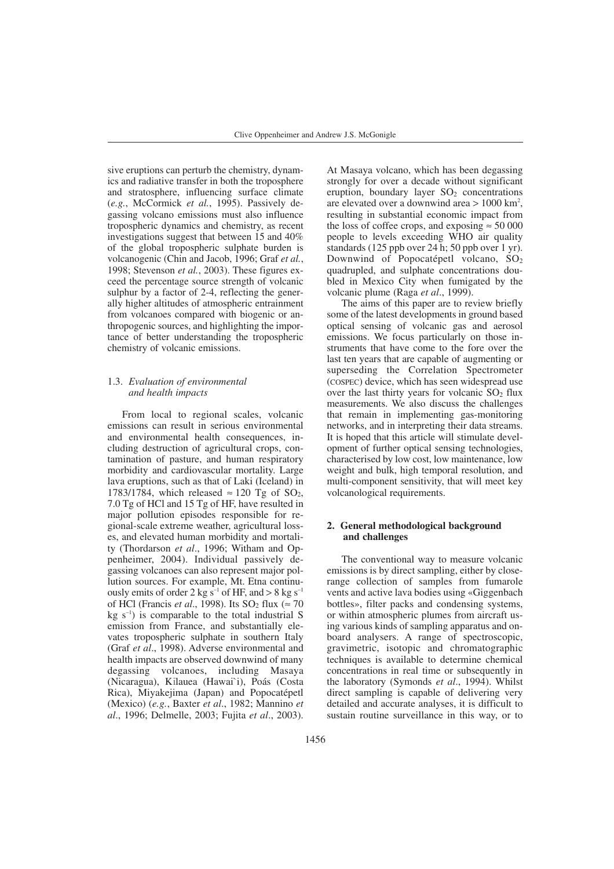sive eruptions can perturb the chemistry, dynamics and radiative transfer in both the troposphere and stratosphere, influencing surface climate (*e.g.*, McCormick *et al.*, 1995). Passively degassing volcano emissions must also influence tropospheric dynamics and chemistry, as recent investigations suggest that between 15 and 40% of the global tropospheric sulphate burden is volcanogenic (Chin and Jacob, 1996; Graf *et al.*, 1998; Stevenson *et al.*, 2003). These figures exceed the percentage source strength of volcanic sulphur by a factor of 2-4, reflecting the generally higher altitudes of atmospheric entrainment from volcanoes compared with biogenic or anthropogenic sources, and highlighting the importance of better understanding the tropospheric chemistry of volcanic emissions.

# 1.3. *Evaluation of environmental and health impacts*

From local to regional scales, volcanic emissions can result in serious environmental and environmental health consequences, including destruction of agricultural crops, contamination of pasture, and human respiratory morbidity and cardiovascular mortality. Large lava eruptions, such as that of Laki (Iceland) in 1783/1784, which released  $\approx$  120 Tg of SO<sub>2</sub>, 7.0 Tg of HCl and 15 Tg of HF, have resulted in major pollution episodes responsible for regional-scale extreme weather, agricultural losses, and elevated human morbidity and mortality (Thordarson *et al*., 1996; Witham and Oppenheimer, 2004). Individual passively degassing volcanoes can also represent major pollution sources. For example, Mt. Etna continuously emits of order 2 kg  $s^{-1}$  of HF, and > 8 kg  $s^{-1}$ of HCl (Francis *et al.*, 1998). Its SO<sub>2</sub> flux ( $\approx$  70 kg  $s^{-1}$ ) is comparable to the total industrial S emission from France, and substantially elevates tropospheric sulphate in southern Italy (Graf *et al*., 1998). Adverse environmental and health impacts are observed downwind of many degassing volcanoes, including Masaya (Nicaragua), Kilauea (Hawai'i), Poás (Costa Rica), Miyakejima (Japan) and Popocatépetl (Mexico) (*e.g.*, Baxter *et al*., 1982; Mannino *et al*., 1996; Delmelle, 2003; Fujita *et al*., 2003).

At Masaya volcano, which has been degassing strongly for over a decade without significant eruption, boundary layer  $SO<sub>2</sub>$  concentrations are elevated over a downwind area  $> 1000$  km<sup>2</sup>, resulting in substantial economic impact from the loss of coffee crops, and exposing  $\approx 50000$ people to levels exceeding WHO air quality standards (125 ppb over 24 h; 50 ppb over 1 yr). Downwind of Popocatépetl volcano,  $SO<sub>2</sub>$ quadrupled, and sulphate concentrations doubled in Mexico City when fumigated by the volcanic plume (Raga *et al*., 1999).

The aims of this paper are to review briefly some of the latest developments in ground based optical sensing of volcanic gas and aerosol emissions. We focus particularly on those instruments that have come to the fore over the last ten years that are capable of augmenting or superseding the Correlation Spectrometer (COSPEC) device, which has seen widespread use over the last thirty years for volcanic  $SO<sub>2</sub>$  flux measurements. We also discuss the challenges that remain in implementing gas-monitoring networks, and in interpreting their data streams. It is hoped that this article will stimulate development of further optical sensing technologies, characterised by low cost, low maintenance, low weight and bulk, high temporal resolution, and multi-component sensitivity, that will meet key volcanological requirements.

## **2. General methodological background and challenges**

The conventional way to measure volcanic emissions is by direct sampling, either by closerange collection of samples from fumarole vents and active lava bodies using «Giggenbach bottles», filter packs and condensing systems, or within atmospheric plumes from aircraft using various kinds of sampling apparatus and onboard analysers. A range of spectroscopic, gravimetric, isotopic and chromatographic techniques is available to determine chemical concentrations in real time or subsequently in the laboratory (Symonds *et al*., 1994). Whilst direct sampling is capable of delivering very detailed and accurate analyses, it is difficult to sustain routine surveillance in this way, or to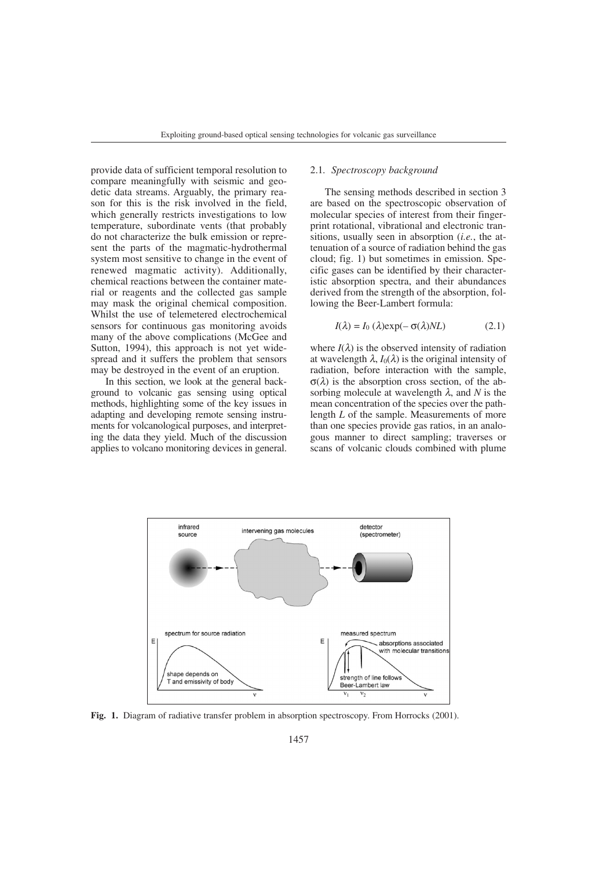provide data of sufficient temporal resolution to compare meaningfully with seismic and geodetic data streams. Arguably, the primary reason for this is the risk involved in the field, which generally restricts investigations to low temperature, subordinate vents (that probably do not characterize the bulk emission or represent the parts of the magmatic-hydrothermal system most sensitive to change in the event of renewed magmatic activity). Additionally, chemical reactions between the container material or reagents and the collected gas sample may mask the original chemical composition. Whilst the use of telemetered electrochemical sensors for continuous gas monitoring avoids many of the above complications (McGee and Sutton, 1994), this approach is not yet widespread and it suffers the problem that sensors may be destroyed in the event of an eruption.

In this section, we look at the general background to volcanic gas sensing using optical methods, highlighting some of the key issues in adapting and developing remote sensing instruments for volcanological purposes, and interpreting the data they yield. Much of the discussion applies to volcano monitoring devices in general.

#### 2.1*. Spectroscopy background*

The sensing methods described in section 3 are based on the spectroscopic observation of molecular species of interest from their fingerprint rotational, vibrational and electronic transitions, usually seen in absorption (*i.e.*, the attenuation of a source of radiation behind the gas cloud; fig. 1) but sometimes in emission. Specific gases can be identified by their characteristic absorption spectra, and their abundances derived from the strength of the absorption, following the Beer-Lambert formula:

$$
I(\lambda) = I_0(\lambda) \exp(-\sigma(\lambda) NL) \tag{2.1}
$$

where  $I(\lambda)$  is the observed intensity of radiation at wavelength  $\lambda$ ,  $I_0(\lambda)$  is the original intensity of radiation, before interaction with the sample, σ(λ) is the absorption cross section, of the absorbing molecule at wavelength λ, and *N* is the mean concentration of the species over the pathlength *L* of the sample. Measurements of more than one species provide gas ratios, in an analogous manner to direct sampling; traverses or scans of volcanic clouds combined with plume



**Fig. 1.** Diagram of radiative transfer problem in absorption spectroscopy. From Horrocks (2001).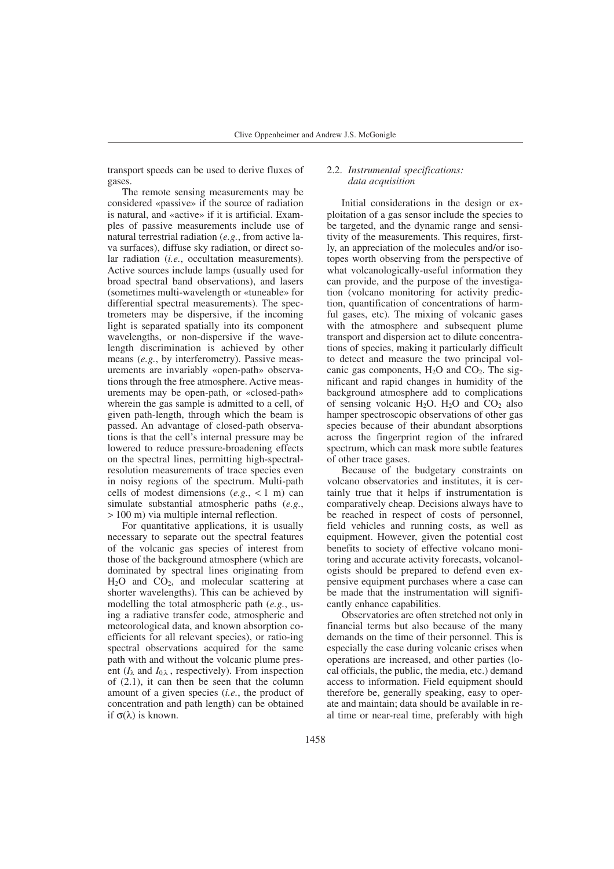transport speeds can be used to derive fluxes of gases.

The remote sensing measurements may be considered «passive» if the source of radiation is natural, and «active» if it is artificial. Examples of passive measurements include use of natural terrestrial radiation (*e.g.*, from active lava surfaces), diffuse sky radiation, or direct solar radiation (*i.e.*, occultation measurements). Active sources include lamps (usually used for broad spectral band observations), and lasers (sometimes multi-wavelength or «tuneable» for differential spectral measurements). The spectrometers may be dispersive, if the incoming light is separated spatially into its component wavelengths, or non-dispersive if the wavelength discrimination is achieved by other means (*e.g.*, by interferometry). Passive measurements are invariably «open-path» observations through the free atmosphere. Active measurements may be open-path, or «closed-path» wherein the gas sample is admitted to a cell, of given path-length, through which the beam is passed. An advantage of closed-path observations is that the cell's internal pressure may be lowered to reduce pressure-broadening effects on the spectral lines, permitting high-spectralresolution measurements of trace species even in noisy regions of the spectrum. Multi-path cells of modest dimensions  $(e.g., < 1 \text{ m})$  can simulate substantial atmospheric paths (*e.g.*, > 100 m) via multiple internal reflection.

For quantitative applications, it is usually necessary to separate out the spectral features of the volcanic gas species of interest from those of the background atmosphere (which are dominated by spectral lines originating from  $H<sub>2</sub>O$  and  $CO<sub>2</sub>$ , and molecular scattering at shorter wavelengths). This can be achieved by modelling the total atmospheric path (*e.g.*, using a radiative transfer code, atmospheric and meteorological data, and known absorption coefficients for all relevant species), or ratio-ing spectral observations acquired for the same path with and without the volcanic plume present  $(I_\lambda$  and  $I_{0,\lambda}$ , respectively). From inspection of (2.1), it can then be seen that the column amount of a given species (*i.e.*, the product of concentration and path length) can be obtained if σ(λ) is known.

#### 2.2. *Instrumental specifications: data acquisition*

Initial considerations in the design or exploitation of a gas sensor include the species to be targeted, and the dynamic range and sensitivity of the measurements. This requires, firstly, an appreciation of the molecules and/or isotopes worth observing from the perspective of what volcanologically-useful information they can provide, and the purpose of the investigation (volcano monitoring for activity prediction, quantification of concentrations of harmful gases, etc). The mixing of volcanic gases with the atmosphere and subsequent plume transport and dispersion act to dilute concentrations of species, making it particularly difficult to detect and measure the two principal volcanic gas components,  $H_2O$  and  $CO_2$ . The significant and rapid changes in humidity of the background atmosphere add to complications of sensing volcanic H<sub>2</sub>O. H<sub>2</sub>O and  $CO<sub>2</sub>$  also hamper spectroscopic observations of other gas species because of their abundant absorptions across the fingerprint region of the infrared spectrum, which can mask more subtle features of other trace gases.

Because of the budgetary constraints on volcano observatories and institutes, it is certainly true that it helps if instrumentation is comparatively cheap. Decisions always have to be reached in respect of costs of personnel, field vehicles and running costs, as well as equipment. However, given the potential cost benefits to society of effective volcano monitoring and accurate activity forecasts, volcanologists should be prepared to defend even expensive equipment purchases where a case can be made that the instrumentation will significantly enhance capabilities.

Observatories are often stretched not only in financial terms but also because of the many demands on the time of their personnel. This is especially the case during volcanic crises when operations are increased, and other parties (local officials, the public, the media, etc.) demand access to information. Field equipment should therefore be, generally speaking, easy to operate and maintain; data should be available in real time or near-real time, preferably with high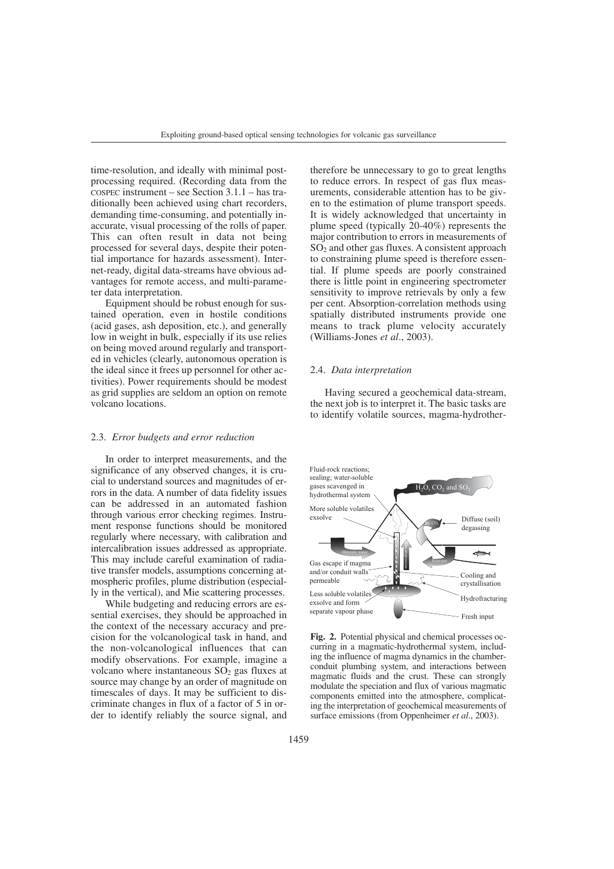time-resolution, and ideally with minimal postprocessing required. (Recording data from the COSPEC instrument – see Section 3.1.1 – has traditionally been achieved using chart recorders, demanding time-consuming, and potentially inaccurate, visual processing of the rolls of paper. This can often result in data not being processed for several days, despite their potential importance for hazards assessment). Internet-ready, digital data-streams have obvious advantages for remote access, and multi-parameter data interpretation.

Equipment should be robust enough for sustained operation, even in hostile conditions (acid gases, ash deposition, etc.), and generally low in weight in bulk, especially if its use relies on being moved around regularly and transported in vehicles (clearly, autonomous operation is the ideal since it frees up personnel for other activities). Power requirements should be modest as grid supplies are seldom an option on remote volcano locations.

#### 2.3. *Error budgets and error reduction*

In order to interpret measurements, and the significance of any observed changes, it is crucial to understand sources and magnitudes of errors in the data. A number of data fidelity issues can be addressed in an automated fashion through various error checking regimes. Instrument response functions should be monitored regularly where necessary, with calibration and intercalibration issues addressed as appropriate. This may include careful examination of radiative transfer models, assumptions concerning atmospheric profiles, plume distribution (especially in the vertical), and Mie scattering processes.

While budgeting and reducing errors are essential exercises, they should be approached in the context of the necessary accuracy and precision for the volcanological task in hand, and the non-volcanological influences that can modify observations. For example, imagine a volcano where instantaneous  $SO<sub>2</sub>$  gas fluxes at source may change by an order of magnitude on timescales of days. It may be sufficient to discriminate changes in flux of a factor of 5 in order to identify reliably the source signal, and

therefore be unnecessary to go to great lengths to reduce errors. In respect of gas flux measurements, considerable attention has to be given to the estimation of plume transport speeds. It is widely acknowledged that uncertainty in plume speed (typically 20-40%) represents the major contribution to errors in measurements of  $SO<sub>2</sub>$  and other gas fluxes. A consistent approach to constraining plume speed is therefore essential. If plume speeds are poorly constrained there is little point in engineering spectrometer sensitivity to improve retrievals by only a few per cent. Absorption-correlation methods using spatially distributed instruments provide one means to track plume velocity accurately (Williams-Jones *et al*., 2003).

## 2.4. *Data interpretation*

Having secured a geochemical data-stream, the next job is to interpret it. The basic tasks are to identify volatile sources, magma-hydrother-



**Fig. 2.** Potential physical and chemical processes occurring in a magmatic-hydrothermal system, including the influence of magma dynamics in the chamberconduit plumbing system, and interactions between magmatic fluids and the crust. These can strongly modulate the speciation and flux of various magmatic components emitted into the atmosphere, complicating the interpretation of geochemical measurements of surface emissions (from Oppenheimer *et al*., 2003).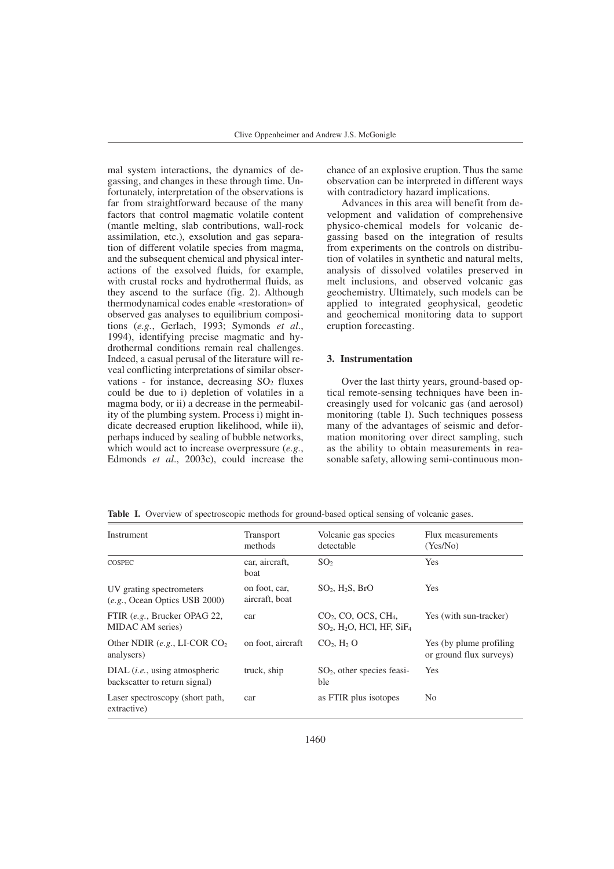mal system interactions, the dynamics of degassing, and changes in these through time. Unfortunately, interpretation of the observations is far from straightforward because of the many factors that control magmatic volatile content (mantle melting, slab contributions, wall-rock assimilation, etc.), exsolution and gas separation of different volatile species from magma, and the subsequent chemical and physical interactions of the exsolved fluids, for example, with crustal rocks and hydrothermal fluids, as they ascend to the surface (fig. 2). Although thermodynamical codes enable «restoration» of observed gas analyses to equilibrium compositions (*e.g.*, Gerlach, 1993; Symonds *et al*., 1994), identifying precise magmatic and hydrothermal conditions remain real challenges. Indeed, a casual perusal of the literature will reveal conflicting interpretations of similar observations - for instance, decreasing  $SO<sub>2</sub>$  fluxes could be due to i) depletion of volatiles in a magma body, or ii) a decrease in the permeability of the plumbing system. Process i) might indicate decreased eruption likelihood, while ii), perhaps induced by sealing of bubble networks, which would act to increase overpressure (*e.g.*, Edmonds *et al*., 2003c), could increase the

chance of an explosive eruption. Thus the same observation can be interpreted in different ways with contradictory hazard implications.

Advances in this area will benefit from development and validation of comprehensive physico-chemical models for volcanic degassing based on the integration of results from experiments on the controls on distribution of volatiles in synthetic and natural melts, analysis of dissolved volatiles preserved in melt inclusions, and observed volcanic gas geochemistry. Ultimately, such models can be applied to integrated geophysical, geodetic and geochemical monitoring data to support eruption forecasting.

### **3. Instrumentation**

Over the last thirty years, ground-based optical remote-sensing techniques have been increasingly used for volcanic gas (and aerosol) monitoring (table I). Such techniques possess many of the advantages of seismic and deformation monitoring over direct sampling, such as the ability to obtain measurements in reasonable safety, allowing semi-continuous mon-

| Instrument                                                                | Transport<br>methods            | Volcanic gas species<br>detectable                                              | Flux measurements<br>(Yes/No)                       |
|---------------------------------------------------------------------------|---------------------------------|---------------------------------------------------------------------------------|-----------------------------------------------------|
| COSPEC                                                                    | car, aircraft,<br><b>boat</b>   | SO <sub>2</sub>                                                                 | <b>Yes</b>                                          |
| UV grating spectrometers<br>(e.g., Ocean Optics USB 2000)                 | on foot, car,<br>aircraft, boat | $SO2$ , H <sub>2</sub> S, BrO                                                   | <b>Yes</b>                                          |
| FTIR (e.g., Brucker OPAG 22,<br>MIDAC AM series)                          | car                             | $CO2$ , CO, OCS, CH <sub>4</sub> ,<br>$SO2$ , $H2O$ , HCl, HF, SiF <sub>4</sub> | Yes (with sun-tracker)                              |
| Other NDIR $(e.g., LI-COR CO2)$<br>analysers)                             | on foot, aircraft               | $CO2$ , $H2$ O                                                                  | Yes (by plume profiling)<br>or ground flux surveys) |
| $DIAL$ ( <i>i.e.</i> , using atmospheric<br>backscatter to return signal) | truck, ship                     | $SO2$ , other species feasi-<br>ble                                             | <b>Yes</b>                                          |
| Laser spectroscopy (short path,<br>extractive)                            | car                             | as FTIR plus isotopes                                                           | N <sub>0</sub>                                      |

**Table I.** Overview of spectroscopic methods for ground-based optical sensing of volcanic gases.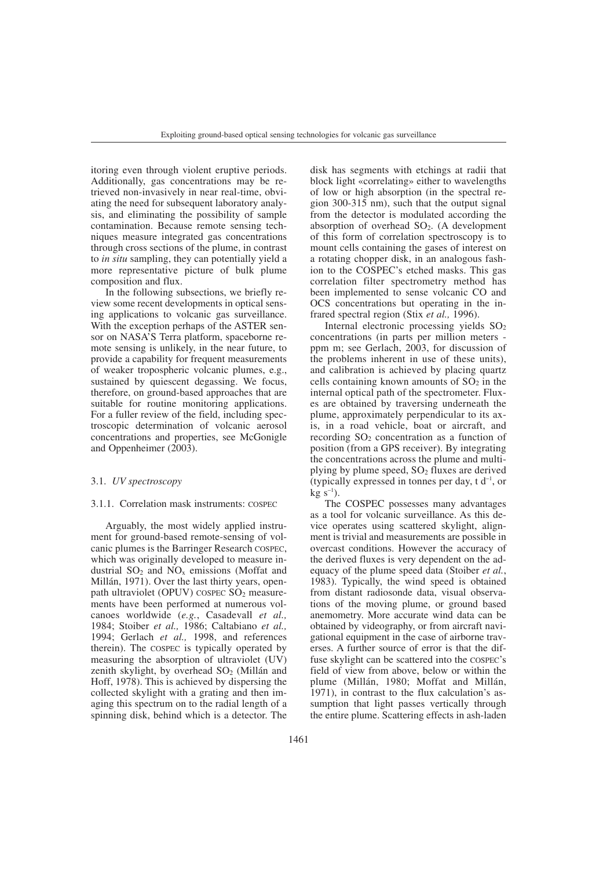itoring even through violent eruptive periods. Additionally, gas concentrations may be retrieved non-invasively in near real-time, obviating the need for subsequent laboratory analysis, and eliminating the possibility of sample contamination. Because remote sensing techniques measure integrated gas concentrations through cross sections of the plume, in contrast to *in situ* sampling, they can potentially yield a more representative picture of bulk plume composition and flux.

In the following subsections, we briefly review some recent developments in optical sensing applications to volcanic gas surveillance. With the exception perhaps of the ASTER sensor on NASA'S Terra platform, spaceborne remote sensing is unlikely, in the near future, to provide a capability for frequent measurements of weaker tropospheric volcanic plumes, e.g., sustained by quiescent degassing. We focus, therefore, on ground-based approaches that are suitable for routine monitoring applications. For a fuller review of the field, including spectroscopic determination of volcanic aerosol concentrations and properties, see McGonigle and Oppenheimer (2003).

## 3.1. *UV spectroscopy*

#### 3.1.1. Correlation mask instruments: COSPEC

Arguably, the most widely applied instrument for ground-based remote-sensing of volcanic plumes is the Barringer Research COSPEC, which was originally developed to measure industrial  $SO_2$  and  $NO_x$  emissions (Moffat and Millán, 1971). Over the last thirty years, openpath ultraviolet (OPUV) COSPEC SO<sub>2</sub> measurements have been performed at numerous volcanoes worldwide (*e.g.*, Casadevall *et al.,* 1984; Stoiber *et al.,* 1986; Caltabiano *et al.,* 1994; Gerlach *et al.,* 1998, and references therein). The COSPEC is typically operated by measuring the absorption of ultraviolet (UV) zenith skylight, by overhead  $SO<sub>2</sub>$  (Millán and Hoff, 1978). This is achieved by dispersing the collected skylight with a grating and then imaging this spectrum on to the radial length of a spinning disk, behind which is a detector. The disk has segments with etchings at radii that block light «correlating» either to wavelengths of low or high absorption (in the spectral region 300-315 nm), such that the output signal from the detector is modulated according the absorption of overhead  $SO<sub>2</sub>$ . (A development of this form of correlation spectroscopy is to mount cells containing the gases of interest on a rotating chopper disk, in an analogous fashion to the COSPEC's etched masks. This gas correlation filter spectrometry method has been implemented to sense volcanic CO and OCS concentrations but operating in the infrared spectral region (Stix *et al.,* 1996).

Internal electronic processing yields SO2 concentrations (in parts per million meters ppm m; see Gerlach, 2003, for discussion of the problems inherent in use of these units), and calibration is achieved by placing quartz cells containing known amounts of  $SO<sub>2</sub>$  in the internal optical path of the spectrometer. Fluxes are obtained by traversing underneath the plume, approximately perpendicular to its axis, in a road vehicle, boat or aircraft, and recording  $SO_2$  concentration as a function of position (from a GPS receiver). By integrating the concentrations across the plume and multiplying by plume speed,  $SO<sub>2</sub>$  fluxes are derived (typically expressed in tonnes per day, t d<sup>−</sup><sup>1</sup> , or  $kg s^{-1}$ ).

The COSPEC possesses many advantages as a tool for volcanic surveillance. As this device operates using scattered skylight, alignment is trivial and measurements are possible in overcast conditions. However the accuracy of the derived fluxes is very dependent on the adequacy of the plume speed data (Stoiber *et al.*, 1983). Typically, the wind speed is obtained from distant radiosonde data, visual observations of the moving plume, or ground based anemometry. More accurate wind data can be obtained by videography, or from aircraft navigational equipment in the case of airborne traverses. A further source of error is that the diffuse skylight can be scattered into the COSPEC's field of view from above, below or within the plume (Millán, 1980; Moffat and Millán, 1971), in contrast to the flux calculation's assumption that light passes vertically through the entire plume. Scattering effects in ash-laden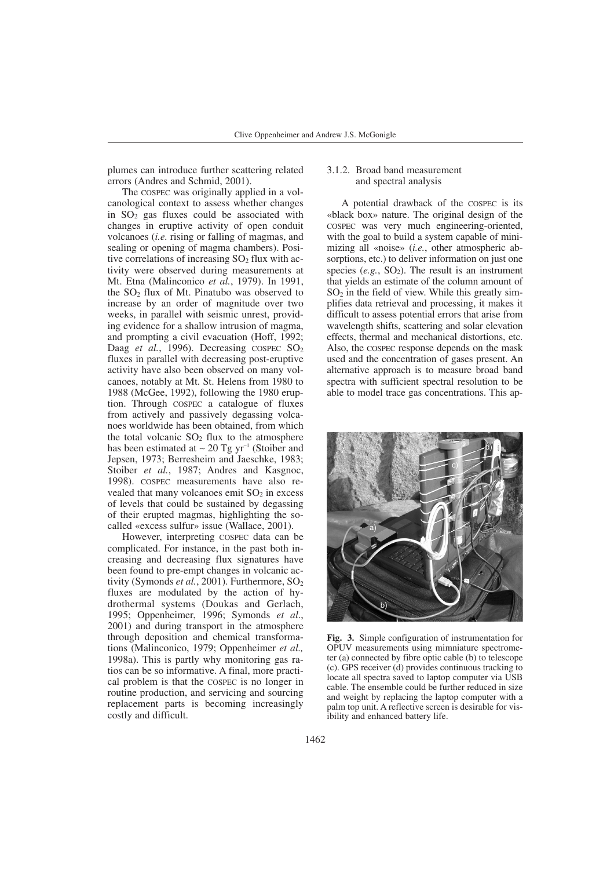plumes can introduce further scattering related errors (Andres and Schmid, 2001).

The COSPEC was originally applied in a volcanological context to assess whether changes in  $SO<sub>2</sub>$  gas fluxes could be associated with changes in eruptive activity of open conduit volcanoes (*i.e.* rising or falling of magmas, and sealing or opening of magma chambers). Positive correlations of increasing  $SO<sub>2</sub>$  flux with activity were observed during measurements at Mt. Etna (Malinconico *et al.*, 1979). In 1991, the  $SO<sub>2</sub>$  flux of Mt. Pinatubo was observed to increase by an order of magnitude over two weeks, in parallel with seismic unrest, providing evidence for a shallow intrusion of magma, and prompting a civil evacuation (Hoff, 1992; Daag et al., 1996). Decreasing COSPEC SO<sub>2</sub> fluxes in parallel with decreasing post-eruptive activity have also been observed on many volcanoes, notably at Mt. St. Helens from 1980 to 1988 (McGee, 1992), following the 1980 eruption. Through COSPEC a catalogue of fluxes from actively and passively degassing volcanoes worldwide has been obtained, from which the total volcanic  $SO_2$  flux to the atmosphere has been estimated at ~20 Tg yr<sup>-1</sup> (Stoiber and Jepsen, 1973; Berresheim and Jaeschke, 1983; Stoiber et al., 1987; Andres and Kasgnoc, 1998). COSPEC measurements have also revealed that many volcanoes emit  $SO<sub>2</sub>$  in excess of levels that could be sustained by degassing of their erupted magmas, highlighting the socalled «excess sulfur» issue (Wallace, 2001).

However, interpreting COSPEC data can be complicated. For instance, in the past both increasing and decreasing flux signatures have been found to pre-empt changes in volcanic activity (Symonds *et al.*, 2001). Furthermore, SO<sub>2</sub> fluxes are modulated by the action of hydrothermal systems (Doukas and Gerlach, 1995; Oppenheimer, 1996; Symonds *et al*., 2001) and during transport in the atmosphere through deposition and chemical transformations (Malinconico, 1979; Oppenheimer *et al.,* 1998a). This is partly why monitoring gas ratios can be so informative. A final, more practical problem is that the COSPEC is no longer in routine production, and servicing and sourcing replacement parts is becoming increasingly costly and difficult.

## 3.1.2. Broad band measurement and spectral analysis

A potential drawback of the COSPEC is its «black box» nature. The original design of the COSPEC was very much engineering-oriented, with the goal to build a system capable of minimizing all «noise» (*i.e.*, other atmospheric absorptions, etc.) to deliver information on just one species  $(e.g., SO<sub>2</sub>)$ . The result is an instrument that yields an estimate of the column amount of  $SO<sub>2</sub>$  in the field of view. While this greatly simplifies data retrieval and processing, it makes it difficult to assess potential errors that arise from wavelength shifts, scattering and solar elevation effects, thermal and mechanical distortions, etc. Also, the COSPEC response depends on the mask used and the concentration of gases present. An alternative approach is to measure broad band spectra with sufficient spectral resolution to be able to model trace gas concentrations. This ap-



**Fig. 3.** Simple configuration of instrumentation for OPUV measurements using mimniature spectrometer (a) connected by fibre optic cable (b) to telescope (c). GPS receiver (d) provides continuous tracking to locate all spectra saved to laptop computer via USB cable. The ensemble could be further reduced in size and weight by replacing the laptop computer with a palm top unit. A reflective screen is desirable for visibility and enhanced battery life.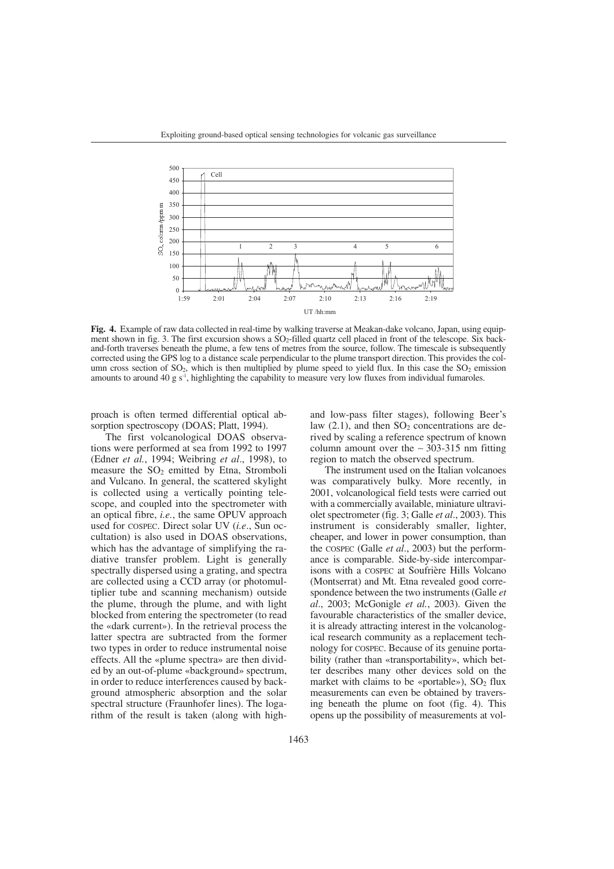

**Fig. 4.** Example of raw data collected in real-time by walking traverse at Meakan-dake volcano, Japan, using equipment shown in fig. 3. The first excursion shows a  $SO_2$ -filled quartz cell placed in front of the telescope. Six backand-forth traverses beneath the plume, a few tens of metres from the source, follow. The timescale is subsequently corrected using the GPS log to a distance scale perpendicular to the plume transport direction. This provides the column cross section of  $SO_2$ , which is then multiplied by plume speed to yield flux. In this case the  $SO_2$  emission amounts to around 40 g  $s^{-1}$ , highlighting the capability to measure very low fluxes from individual fumaroles.

proach is often termed differential optical absorption spectroscopy (DOAS; Platt, 1994).

The first volcanological DOAS observations were performed at sea from 1992 to 1997 (Edner *et al.*, 1994; Weibring *et al*., 1998), to measure the  $SO<sub>2</sub>$  emitted by Etna, Stromboli and Vulcano. In general, the scattered skylight is collected using a vertically pointing telescope, and coupled into the spectrometer with an optical fibre, *i.e.*, the same OPUV approach used for COSPEC. Direct solar UV (*i.e*., Sun occultation) is also used in DOAS observations, which has the advantage of simplifying the radiative transfer problem. Light is generally spectrally dispersed using a grating, and spectra are collected using a CCD array (or photomultiplier tube and scanning mechanism) outside the plume, through the plume, and with light blocked from entering the spectrometer (to read the «dark current»). In the retrieval process the latter spectra are subtracted from the former two types in order to reduce instrumental noise effects. All the «plume spectra» are then divided by an out-of-plume «background» spectrum, in order to reduce interferences caused by background atmospheric absorption and the solar spectral structure (Fraunhofer lines). The logarithm of the result is taken (along with highand low-pass filter stages), following Beer's law  $(2.1)$ , and then  $SO<sub>2</sub>$  concentrations are derived by scaling a reference spectrum of known column amount over the ∼ 303-315 nm fitting region to match the observed spectrum.

The instrument used on the Italian volcanoes was comparatively bulky. More recently, in 2001, volcanological field tests were carried out with a commercially available, miniature ultraviolet spectrometer (fig. 3; Galle *et al*., 2003). This instrument is considerably smaller, lighter, cheaper, and lower in power consumption, than the COSPEC (Galle *et al*., 2003) but the performance is comparable. Side-by-side intercomparisons with a COSPEC at Soufrière Hills Volcano (Montserrat) and Mt. Etna revealed good correspondence between the two instruments (Galle *et al*., 2003; McGonigle *et al.*, 2003). Given the favourable characteristics of the smaller device, it is already attracting interest in the volcanological research community as a replacement technology for COSPEC. Because of its genuine portability (rather than «transportability», which better describes many other devices sold on the market with claims to be «portable»),  $SO<sub>2</sub>$  flux measurements can even be obtained by traversing beneath the plume on foot (fig. 4). This opens up the possibility of measurements at vol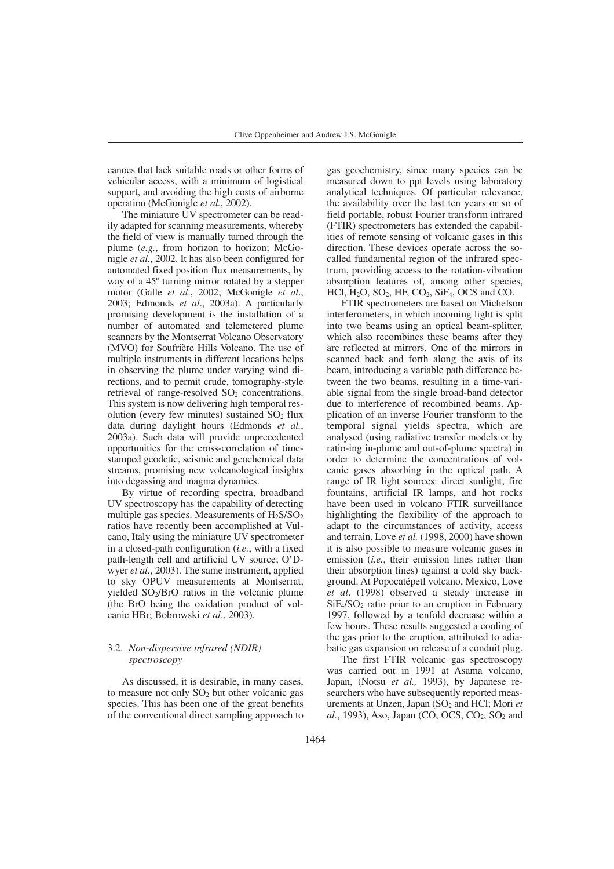canoes that lack suitable roads or other forms of vehicular access, with a minimum of logistical support, and avoiding the high costs of airborne operation (McGonigle *et al.*, 2002).

The miniature UV spectrometer can be readily adapted for scanning measurements, whereby the field of view is manually turned through the plume (*e.g.*, from horizon to horizon; McGonigle *et al.*, 2002. It has also been configured for automated fixed position flux measurements, by way of a 45º turning mirror rotated by a stepper motor (Galle *et al*., 2002; McGonigle *et al*., 2003; Edmonds *et al*., 2003a). A particularly promising development is the installation of a number of automated and telemetered plume scanners by the Montserrat Volcano Observatory (MVO) for Soufrière Hills Volcano. The use of multiple instruments in different locations helps in observing the plume under varying wind directions, and to permit crude, tomography-style retrieval of range-resolved  $SO<sub>2</sub>$  concentrations. This system is now delivering high temporal resolution (every few minutes) sustained  $SO<sub>2</sub>$  flux data during daylight hours (Edmonds *et al.*, 2003a). Such data will provide unprecedented opportunities for the cross-correlation of timestamped geodetic, seismic and geochemical data streams, promising new volcanological insights into degassing and magma dynamics.

By virtue of recording spectra, broadband UV spectroscopy has the capability of detecting multiple gas species. Measurements of  $H<sub>2</sub>S/SO<sub>2</sub>$ ratios have recently been accomplished at Vulcano, Italy using the miniature UV spectrometer in a closed-path configuration (*i.e.*, with a fixed path-length cell and artificial UV source; O'Dwyer *et al.*, 2003). The same instrument, applied to sky OPUV measurements at Montserrat, yielded SO2/BrO ratios in the volcanic plume (the BrO being the oxidation product of volcanic HBr; Bobrowski *et al*., 2003).

# 3.2. *Non-dispersive infrared (NDIR) spectroscopy*

As discussed, it is desirable, in many cases, to measure not only  $SO<sub>2</sub>$  but other volcanic gas species. This has been one of the great benefits of the conventional direct sampling approach to

gas geochemistry, since many species can be measured down to ppt levels using laboratory analytical techniques. Of particular relevance, the availability over the last ten years or so of field portable, robust Fourier transform infrared (FTIR) spectrometers has extended the capabilities of remote sensing of volcanic gases in this direction. These devices operate across the socalled fundamental region of the infrared spectrum, providing access to the rotation-vibration absorption features of, among other species, HCl,  $H_2O$ ,  $SO_2$ , HF,  $CO_2$ ,  $SiF_4$ ,  $OCS$  and CO.

FTIR spectrometers are based on Michelson interferometers, in which incoming light is split into two beams using an optical beam-splitter, which also recombines these beams after they are reflected at mirrors. One of the mirrors in scanned back and forth along the axis of its beam, introducing a variable path difference between the two beams, resulting in a time-variable signal from the single broad-band detector due to interference of recombined beams. Application of an inverse Fourier transform to the temporal signal yields spectra, which are analysed (using radiative transfer models or by ratio-ing in-plume and out-of-plume spectra) in order to determine the concentrations of volcanic gases absorbing in the optical path. A range of IR light sources: direct sunlight, fire fountains, artificial IR lamps, and hot rocks have been used in volcano FTIR surveillance highlighting the flexibility of the approach to adapt to the circumstances of activity, access and terrain. Love *et al.* (1998, 2000) have shown it is also possible to measure volcanic gases in emission (*i.e.*, their emission lines rather than their absorption lines) against a cold sky background. At Popocatépetl volcano, Mexico, Love *et al*. (1998) observed a steady increase in  $SiF<sub>4</sub>/SO<sub>2</sub>$  ratio prior to an eruption in February 1997, followed by a tenfold decrease within a few hours. These results suggested a cooling of the gas prior to the eruption, attributed to adiabatic gas expansion on release of a conduit plug.

The first FTIR volcanic gas spectroscopy was carried out in 1991 at Asama volcano, Japan, (Notsu *et al.,* 1993), by Japanese researchers who have subsequently reported measurements at Unzen, Japan (SO<sub>2</sub> and HCl; Mori *et al.*, 1993), Aso, Japan (CO, OCS, CO<sub>2</sub>, SO<sub>2</sub> and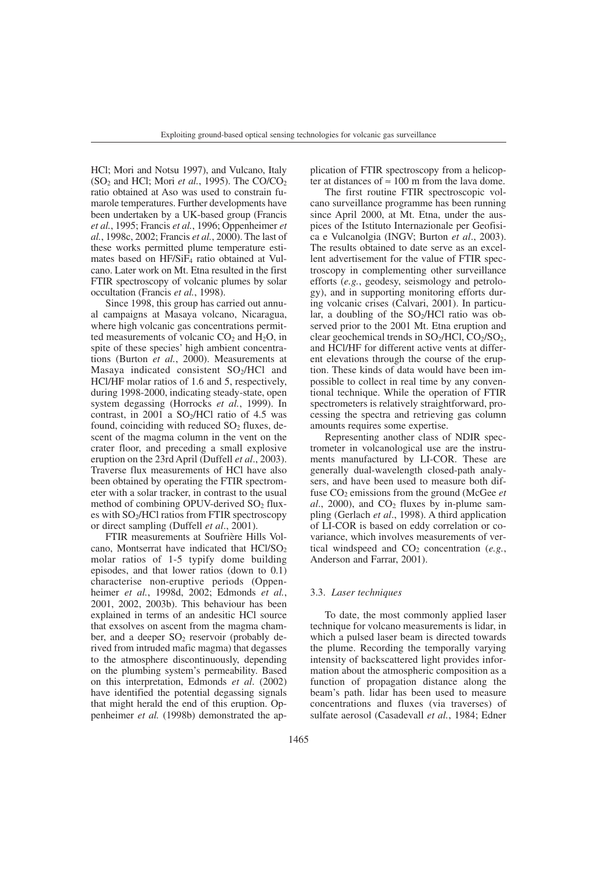HCl; Mori and Notsu 1997), and Vulcano, Italy  $(SO<sub>2</sub>$  and HCl; Mori *et al.*, 1995). The CO/CO<sub>2</sub> ratio obtained at Aso was used to constrain fumarole temperatures. Further developments have been undertaken by a UK-based group (Francis *et al.*, 1995; Francis *et al.*, 1996; Oppenheimer *et al.*, 1998c, 2002; Francis *et al.*, 2000). The last of these works permitted plume temperature estimates based on HF/SiF4 ratio obtained at Vulcano. Later work on Mt. Etna resulted in the first FTIR spectroscopy of volcanic plumes by solar occultation (Francis *et al.*, 1998).

Since 1998, this group has carried out annual campaigns at Masaya volcano, Nicaragua, where high volcanic gas concentrations permitted measurements of volcanic  $CO<sub>2</sub>$  and  $H<sub>2</sub>O$ , in spite of these species' high ambient concentrations (Burton *et al.*, 2000). Measurements at Masaya indicated consistent SO<sub>2</sub>/HCl and HCl/HF molar ratios of 1.6 and 5, respectively, during 1998-2000, indicating steady-state, open system degassing (Horrocks *et al.*, 1999). In contrast, in 2001 a  $SO<sub>2</sub>/HCl$  ratio of 4.5 was found, coinciding with reduced  $SO<sub>2</sub>$  fluxes, descent of the magma column in the vent on the crater floor, and preceding a small explosive eruption on the 23rd April (Duffell *et al*., 2003). Traverse flux measurements of HCl have also been obtained by operating the FTIR spectrometer with a solar tracker, in contrast to the usual method of combining OPUV-derived  $SO<sub>2</sub>$  fluxes with  $SO<sub>2</sub>/HCl$  ratios from FTIR spectroscopy or direct sampling (Duffell *et al*., 2001).

FTIR measurements at Soufrière Hills Volcano, Montserrat have indicated that HCl/SO<sub>2</sub> molar ratios of 1-5 typify dome building episodes, and that lower ratios (down to 0.1) characterise non-eruptive periods (Oppenheimer *et al.*, 1998d, 2002; Edmonds *et al.*, 2001, 2002, 2003b). This behaviour has been explained in terms of an andesitic HCl source that exsolves on ascent from the magma chamber, and a deeper  $SO<sub>2</sub>$  reservoir (probably derived from intruded mafic magma) that degasses to the atmosphere discontinuously, depending on the plumbing system's permeability. Based on this interpretation, Edmonds *et al*. (2002) have identified the potential degassing signals that might herald the end of this eruption. Oppenheimer *et al.* (1998b) demonstrated the application of FTIR spectroscopy from a helicopter at distances of  $\approx 100$  m from the lava dome.

The first routine FTIR spectroscopic volcano surveillance programme has been running since April 2000, at Mt. Etna, under the auspices of the Istituto Internazionale per Geofisica e Vulcanolgia (INGV; Burton *et al*., 2003). The results obtained to date serve as an excellent advertisement for the value of FTIR spectroscopy in complementing other surveillance efforts (*e.g.*, geodesy, seismology and petrology), and in supporting monitoring efforts during volcanic crises (Calvari, 2001). In particular, a doubling of the  $SO<sub>2</sub>/HCl$  ratio was observed prior to the 2001 Mt. Etna eruption and clear geochemical trends in  $SO<sub>2</sub>/HCl$ ,  $CO<sub>2</sub>/SO<sub>2</sub>$ , and HCl/HF for different active vents at different elevations through the course of the eruption. These kinds of data would have been impossible to collect in real time by any conventional technique. While the operation of FTIR spectrometers is relatively straightforward, processing the spectra and retrieving gas column amounts requires some expertise.

Representing another class of NDIR spectrometer in volcanological use are the instruments manufactured by LI-COR. These are generally dual-wavelength closed-path analysers, and have been used to measure both diffuse CO<sub>2</sub> emissions from the ground (McGee *et*)  $al., 2000$ ), and  $CO<sub>2</sub>$  fluxes by in-plume sampling (Gerlach *et al*., 1998). A third application of LI-COR is based on eddy correlation or covariance, which involves measurements of vertical windspeed and CO<sub>2</sub> concentration (*e.g.*, Anderson and Farrar, 2001).

### 3.3. *Laser techniques*

To date, the most commonly applied laser technique for volcano measurements is lidar, in which a pulsed laser beam is directed towards the plume. Recording the temporally varying intensity of backscattered light provides information about the atmospheric composition as a function of propagation distance along the beam's path. lidar has been used to measure concentrations and fluxes (via traverses) of sulfate aerosol (Casadevall *et al.*, 1984; Edner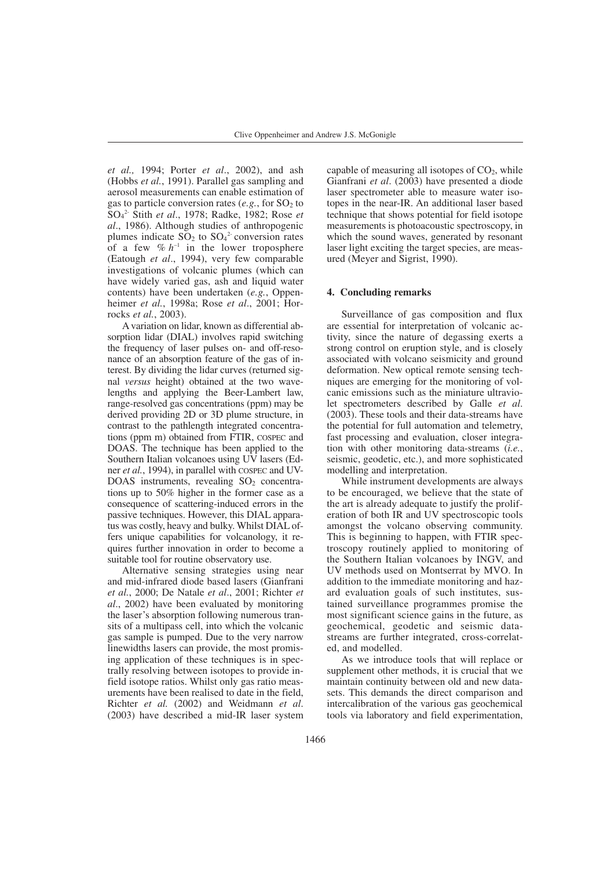*et al.,* 1994; Porter *et al*., 2002), and ash (Hobbs *et al.*, 1991). Parallel gas sampling and aerosol measurements can enable estimation of gas to particle conversion rates  $(e.g., for SO<sub>2</sub> to$ SO4 2- Stith *et al*., 1978; Radke, 1982; Rose *et al*., 1986). Although studies of anthropogenic plumes indicate  $SO_2$  to  $SO_4^2$  conversion rates of a few  $\% h^{-1}$  in the lower troposphere (Eatough *et al*., 1994), very few comparable investigations of volcanic plumes (which can have widely varied gas, ash and liquid water contents) have been undertaken (*e.g.*, Oppenheimer *et al.*, 1998a; Rose *et al*., 2001; Horrocks *et al.*, 2003).

Avariation on lidar, known as differential absorption lidar (DIAL) involves rapid switching the frequency of laser pulses on- and off-resonance of an absorption feature of the gas of interest. By dividing the lidar curves (returned signal *versus* height) obtained at the two wavelengths and applying the Beer-Lambert law, range-resolved gas concentrations (ppm) may be derived providing 2D or 3D plume structure, in contrast to the pathlength integrated concentrations (ppm m) obtained from FTIR, COSPEC and DOAS. The technique has been applied to the Southern Italian volcanoes using UV lasers (Edner *et al.*, 1994), in parallel with COSPEC and UV-DOAS instruments, revealing  $SO<sub>2</sub>$  concentrations up to 50% higher in the former case as a consequence of scattering-induced errors in the passive techniques. However, this DIAL apparatus was costly, heavy and bulky. Whilst DIAL offers unique capabilities for volcanology, it requires further innovation in order to become a suitable tool for routine observatory use.

Alternative sensing strategies using near and mid-infrared diode based lasers (Gianfrani *et al.*, 2000; De Natale *et al*., 2001; Richter *et al*., 2002) have been evaluated by monitoring the laser's absorption following numerous transits of a multipass cell, into which the volcanic gas sample is pumped. Due to the very narrow linewidths lasers can provide, the most promising application of these techniques is in spectrally resolving between isotopes to provide infield isotope ratios. Whilst only gas ratio measurements have been realised to date in the field, Richter *et al.* (2002) and Weidmann *et al*. (2003) have described a mid-IR laser system capable of measuring all isotopes of  $CO<sub>2</sub>$ , while Gianfrani *et al*. (2003) have presented a diode laser spectrometer able to measure water isotopes in the near-IR. An additional laser based technique that shows potential for field isotope measurements is photoacoustic spectroscopy, in which the sound waves, generated by resonant laser light exciting the target species, are measured (Meyer and Sigrist, 1990).

#### **4. Concluding remarks**

Surveillance of gas composition and flux are essential for interpretation of volcanic activity, since the nature of degassing exerts a strong control on eruption style, and is closely associated with volcano seismicity and ground deformation. New optical remote sensing techniques are emerging for the monitoring of volcanic emissions such as the miniature ultraviolet spectrometers described by Galle *et al*. (2003). These tools and their data-streams have the potential for full automation and telemetry, fast processing and evaluation, closer integration with other monitoring data-streams (*i.e.*, seismic, geodetic, etc.), and more sophisticated modelling and interpretation.

While instrument developments are always to be encouraged, we believe that the state of the art is already adequate to justify the proliferation of both IR and UV spectroscopic tools amongst the volcano observing community. This is beginning to happen, with FTIR spectroscopy routinely applied to monitoring of the Southern Italian volcanoes by INGV, and UV methods used on Montserrat by MVO. In addition to the immediate monitoring and hazard evaluation goals of such institutes, sustained surveillance programmes promise the most significant science gains in the future, as geochemical, geodetic and seismic datastreams are further integrated, cross-correlated, and modelled.

As we introduce tools that will replace or supplement other methods, it is crucial that we maintain continuity between old and new datasets. This demands the direct comparison and intercalibration of the various gas geochemical tools via laboratory and field experimentation,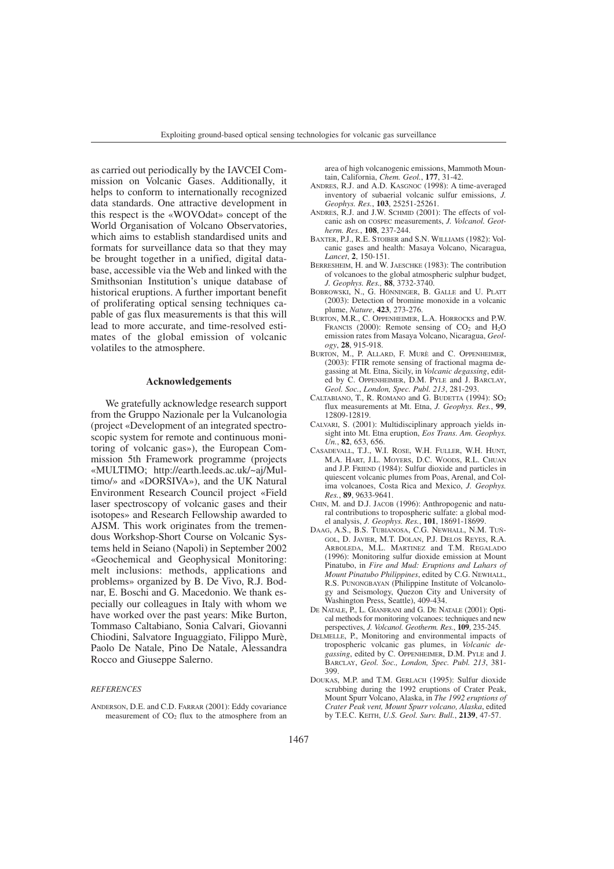as carried out periodically by the IAVCEI Commission on Volcanic Gases. Additionally, it helps to conform to internationally recognized data standards. One attractive development in this respect is the «WOVOdat» concept of the World Organisation of Volcano Observatories, which aims to establish standardised units and formats for surveillance data so that they may be brought together in a unified, digital database, accessible via the Web and linked with the Smithsonian Institution's unique database of historical eruptions. A further important benefit of proliferating optical sensing techniques capable of gas flux measurements is that this will lead to more accurate, and time-resolved estimates of the global emission of volcanic volatiles to the atmosphere.

#### **Acknowledgements**

We gratefully acknowledge research support from the Gruppo Nazionale per la Vulcanologia (project «Development of an integrated spectroscopic system for remote and continuous monitoring of volcanic gas»), the European Commission 5th Framework programme (projects «MULTIMO; http://earth.leeds.ac.uk/~aj/Multimo/» and «DORSIVA»), and the UK Natural Environment Research Council project «Field laser spectroscopy of volcanic gases and their isotopes» and Research Fellowship awarded to AJSM. This work originates from the tremendous Workshop-Short Course on Volcanic Systems held in Seiano (Napoli) in September 2002 «Geochemical and Geophysical Monitoring: melt inclusions: methods, applications and problems» organized by B. De Vivo, R.J. Bodnar, E. Boschi and G. Macedonio. We thank especially our colleagues in Italy with whom we have worked over the past years: Mike Burton, Tommaso Caltabiano, Sonia Calvari, Giovanni Chiodini, Salvatore Inguaggiato, Filippo Murè, Paolo De Natale, Pino De Natale, Alessandra Rocco and Giuseppe Salerno.

#### *REFERENCES*

ANDERSON, D.E. and C.D. FARRAR (2001): Eddy covariance measurement of CO<sub>2</sub> flux to the atmosphere from an area of high volcanogenic emissions, Mammoth Mountain, California, *Chem. Geol.*, **177**, 31-42.

- ANDRES, R.J. and A.D. KASGNOC (1998): A time-averaged inventory of subaerial volcanic sulfur emissions, *J. Geophys. Res.*, **103**, 25251-25261.
- ANDRES, R.J. and J.W. SCHMID (2001): The effects of volcanic ash on COSPEC measurements, *J. Volcanol. Geotherm. Res.*, **108**, 237-244.
- BAXTER, P.J., R.E. STOIBER and S.N. WILLIAMS (1982): Volcanic gases and health: Masaya Volcano, Nicaragua, *Lancet*, **2**, 150-151.
- BERRESHEIM, H. and W. JAESCHKE (1983): The contribution of volcanoes to the global atmospheric sulphur budget, *J. Geophys. Res.,* **88**, 3732-3740.
- BOBROWSKI, N., G. HÖNNINGER, B. GALLE and U. PLATT (2003): Detection of bromine monoxide in a volcanic plume, *Nature*, **423**, 273-276.
- BURTON, M.R., C. OPPENHEIMER, L.A. HORROCKS and P.W. FRANCIS (2000): Remote sensing of  $CO<sub>2</sub>$  and  $H<sub>2</sub>O$ emission rates from Masaya Volcano, Nicaragua, *Geology*, **28**, 915-918.
- BURTON, M., P. ALLARD, F. MURÈ and C. OPPENHEIMER, (2003): FTIR remote sensing of fractional magma degassing at Mt. Etna, Sicily, in *Volcanic degassing*, edited by C. OPPENHEIMER, D.M. PYLE and J. BARCLAY, *Geol. Soc.*, *London, Spec. Publ. 213*, 281-293.
- CALTABIANO, T., R. ROMANO and G. BUDETTA (1994): SO2 flux measurements at Mt. Etna, *J. Geophys. Res.*, **99**, 12809-12819.
- CALVARI, S. (2001): Multidisciplinary approach yields insight into Mt. Etna eruption, *Eos Trans. Am. Geophys. Un.*, **82**, 653, 656.
- CASADEVALL, T.J., W.I. ROSE, W.H. FULLER, W.H. HUNT, M.A. HART, J.L. MOYERS, D.C. WOODS, R.L. CHUAN and J.P. FRIEND (1984): Sulfur dioxide and particles in quiescent volcanic plumes from Poas, Arenal, and Colima volcanoes, Costa Rica and Mexico, *J. Geophys. Res.*, **89**, 9633-9641.
- CHIN, M. and D.J. JACOB (1996): Anthropogenic and natural contributions to tropospheric sulfate: a global model analysis, *J. Geophys. Res.*, **101**, 18691-18699.
- DAAG, A.S., B.S. TUBIANOSA, C.G. NEWHALL, N.M. TUÑ-GOL, D. JAVIER, M.T. DOLAN, P.J. DELOS REYES, R.A. ARBOLEDA, M.L. MARTINEZ and T.M. REGALADO (1996): Monitoring sulfur dioxide emission at Mount Pinatubo, in *Fire and Mud: Eruptions and Lahars of Mount Pinatubo Philippines*, edited by C.G. NEWHALL, R.S. PUNONGBAYAN (Philippine Institute of Volcanology and Seismology, Quezon City and University of Washington Press, Seattle), 409-434.
- DE NATALE, P., L. GIANFRANI and G. DE NATALE (2001): Optical methods for monitoring volcanoes: techniques and new perspectives, *J. Volcanol. Geotherm. Res.*, **109**, 235-245.
- DELMELLE, P., Monitoring and environmental impacts of tropospheric volcanic gas plumes, in *Volcanic degassing*, edited by C. OPPENHEIMER, D.M. PYLE and J. BARCLAY, *Geol. Soc., London, Spec. Publ. 213*, 381- 399.
- DOUKAS, M.P. and T.M. GERLACH (1995): Sulfur dioxide scrubbing during the 1992 eruptions of Crater Peak, Mount Spurr Volcano, Alaska, in *The 1992 eruptions of Crater Peak vent, Mount Spurr volcano, Alaska*, edited by T.E.C. KEITH, *U.S. Geol. Surv. Bull.*, **2139**, 47-57.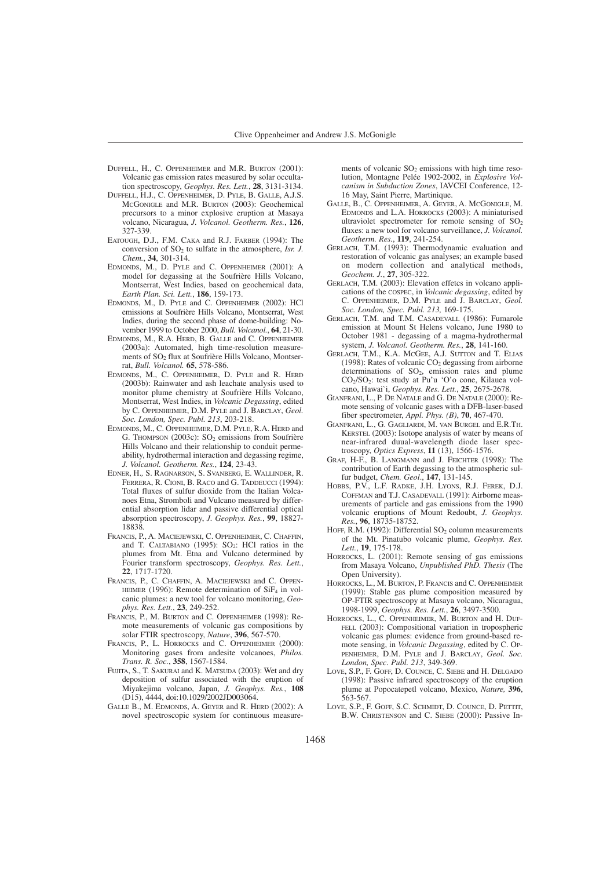- DUFFELL, H., C. OPPENHEIMER and M.R. BURTON (2001): Volcanic gas emission rates measured by solar occultation spectroscopy, *Geophys. Res. Lett.*, **28**, 3131-3134.
- DUFFELL, H.J., C. OPPENHEIMER, D. PYLE, B. GALLE, A.J.S. MCGONIGLE and M.R. BURTON (2003): Geochemical precursors to a minor explosive eruption at Masaya volcano, Nicaragua, *J. Volcanol. Geotherm. Res.*, **126**, 327-339.
- EATOUGH, D.J., F.M. CAKA and R.J. FARBER (1994): The conversion of SO2 to sulfate in the atmosphere, *Isr. J. Chem.*, **34**, 301-314.
- EDMONDS, M., D. PYLE and C. OPPENHEIMER (2001): A model for degassing at the Soufrière Hills Volcano, Montserrat, West Indies, based on geochemical data, *Earth Plan. Sci. Lett.*, **186**, 159-173.
- EDMONDS, M., D. PYLE and C. OPPENHEIMER (2002): HCl emissions at Soufrière Hills Volcano, Montserrat, West Indies, during the second phase of dome-building: November 1999 to October 2000, *Bull. Volcanol.*, **64**, 21-30.
- EDMONDS, M., R.A. HERD, B. GALLE and C. OPPENHEIMER (2003a): Automated, high time-resolution measurements of SO<sub>2</sub> flux at Soufrière Hills Volcano, Montserrat, *Bull. Volcanol.* **65**, 578-586.
- EDMONDS, M., C. OPPENHEIMER, D. PYLE and R. HERD (2003b): Rainwater and ash leachate analysis used to monitor plume chemistry at Soufrière Hills Volcano, Montserrat, West Indies, in *Volcanic Degassing*, edited by C. OPPENHEIMER, D.M. PYLE and J. BARCLAY, *Geol. Soc. London, Spec. Publ. 213*, 203-218.
- EDMONDS, M., C. OPPENHEIMER, D.M. PYLE, R.A. HERD and G. THOMPSON (2003c): SO2 emissions from Soufrière Hills Volcano and their relationship to conduit permeability, hydrothermal interaction and degassing regime, *J. Volcanol. Geotherm. Res.*, **124**, 23-43.
- EDNER, H. S. RAGNARSON, S. SVANBERG, E. WALLINDER, R. FERRERA, R. CIONI, B. RACO and G. TADDEUCCI (1994): Total fluxes of sulfur dioxide from the Italian Volcanoes Etna, Stromboli and Vulcano measured by differential absorption lidar and passive differential optical absorption spectroscopy, *J. Geophys. Res.*, **99**, 18827- 18838*.*
- FRANCIS, P., A. MACIEJEWSKI, C. OPPENHEIMER, C. CHAFFIN, and T. CALTABIANO  $(1995)$ : SO<sub>2</sub>: HCl ratios in the plumes from Mt. Etna and Vulcano determined by Fourier transform spectroscopy, *Geophys. Res. Lett.*, **22**, 1717-1720.
- FRANCIS, P., C. CHAFFIN, A. MACIEJEWSKI and C. OPPEN-HEIMER (1996): Remote determination of SiF<sub>4</sub> in volcanic plumes: a new tool for volcano monitoring, *Geophys. Res. Lett.*, **23**, 249-252.
- FRANCIS, P., M. BURTON and C. OPPENHEIMER (1998): Remote measurements of volcanic gas compositions by solar FTIR spectroscopy, *Nature*, **396**, 567-570.
- FRANCIS, P., L. HORROCKS and C. OPPENHEIMER (2000): Monitoring gases from andesite volcanoes, *Philos. Trans. R. Soc.*, **358**, 1567-1584.
- FUJITA, S., T. SAKURAI and K. MATSUDA (2003): Wet and dry deposition of sulfur associated with the eruption of Miyakejima volcano, Japan, *J. Geophys. Res.*, **108** (D15), 4444, doi:10.1029/2002JD003064.
- GALLE B., M. EDMONDS, A. GEYER and R. HERD (2002): A novel spectroscopic system for continuous measure-

ments of volcanic  $SO<sub>2</sub>$  emissions with high time resolution, Montagne Pelée 1902-2002, in *Explosive Volcanism in Subduction Zones*, IAVCEI Conference, 12- 16 May, Saint Pierre, Martinique.

- GALLE, B., C. OPPENHEIMER, A. GEYER, A. MCGONIGLE, M. EDMONDS and L.A. HORROCKS (2003): A miniaturised ultraviolet spectrometer for remote sensing of  $SO<sub>2</sub>$ fluxes: a new tool for volcano surveillance, *J. Volcanol. Geotherm. Res.*, **119**, 241-254.
- GERLACH, T.M. (1993): Thermodynamic evaluation and restoration of volcanic gas analyses; an example based on modern collection and analytical methods, *Geochem. J.*, **27**, 305-322.
- GERLACH, T.M. (2003): Elevation effetcs in volcano applications of the COSPEC, in *Volcanic degassing*, edited by C. OPPENHEIMER, D.M. PYLE and J. BARCLAY, *Geol. Soc. London, Spec. Publ. 213,* 169-175.
- GERLACH, T.M. and T.M. CASADEVALL (1986): Fumarole emission at Mount St Helens volcano, June 1980 to October 1981 - degassing of a magma-hydrothermal system, *J. Volcanol. Geotherm. Res.*, **28**, 141-160.
- GERLACH, T.M., K.A. MCGEE, A.J. SUTTON and T. ELIAS (1998): Rates of volcanic  $CO<sub>2</sub>$  degassing from airborne  $determinations$  of  $SO<sub>2</sub>$ , emission rates and plume CO<sub>2</sub>/SO<sub>2</sub>: test study at Pu'u 'O'o cone, Kilauea volcano, Hawai`i, *Geophys. Res. Lett.*, **25**, 2675-2678.
- GIANFRANI, L., P. DE NATALE and G. DE NATALE (2000): Remote sensing of volcanic gases with a DFB-laser-based fiber spectrometer, *Appl. Phys. (B)*, **70**, 467-470.
- GIANFRANI, L., G. GAGLIARDI, M. VAN BURGEL and E.R.TH. KERSTEL (2003): Isotope analysis of water by means of near-infrared duual-wavelength diode laser spectroscopy, *Optics Express*, **11** (13), 1566-1576.
- GRAF, H-F., B. LANGMANN and J. FEICHTER (1998): The contribution of Earth degassing to the atmospheric sulfur budget, *Chem. Geol*., **147**, 131-145.
- HOBBS, P.V., L.F. RADKE, J.H. LYONS, R.J. FEREK, D.J. COFFMAN and T.J. CASADEVALL (1991): Airborne measurements of particle and gas emissions from the 1990 volcanic eruptions of Mount Redoubt, *J. Geophys. Res.*, **96**, 18735-18752.
- HOFF, R.M. (1992): Differential  $SO<sub>2</sub>$  column measurements of the Mt. Pinatubo volcanic plume, *Geophys. Res. Lett.*, **19**, 175-178.
- HORROCKS, L. (2001): Remote sensing of gas emissions from Masaya Volcano, *Unpublished PhD. Thesis* (The Open University).
- HORROCKS, L., M. BURTON, P. FRANCIS and C. OPPENHEIMER (1999): Stable gas plume composition measured by OP-FTIR spectroscopy at Masaya volcano, Nicaragua, 1998-1999, *Geophys. Res. Lett.*, **26**, 3497-3500.
- HORROCKS, L., C. OPPENHEIMER, M. BURTON and H. DUF-FELL (2003): Compositional variation in tropospheric volcanic gas plumes: evidence from ground-based remote sensing, in *Volcanic Degassing*, edited by C. OP-PENHEIMER, D.M. PYLE and J. BARCLAY, *Geol. Soc. London, Spec. Publ. 213*, 349-369.
- LOVE, S.P., F. GOFF, D. COUNCE, C. SIEBE and H. DELGADO (1998): Passive infrared spectroscopy of the eruption plume at Popocatepetl volcano, Mexico, *Nature,* **396**, 563-567.
- LOVE, S.P., F. GOFF, S.C. SCHMIDT, D. COUNCE, D. PETTIT, B.W. CHRISTENSON and C. SIEBE (2000): Passive In-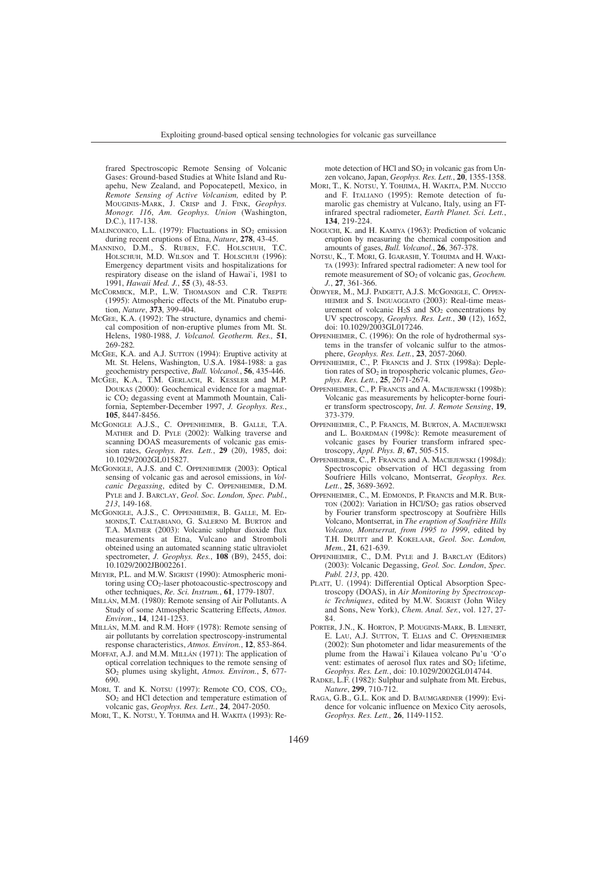frared Spectroscopic Remote Sensing of Volcanic Gases: Ground-based Studies at White Island and Ruapehu, New Zealand, and Popocatepetl, Mexico, in *Remote Sensing of Active Volcanism,* edited by P. MOUGINIS-MARK, J. CRISP and J. FINK, *Geophys. Monogr. 116*, *Am. Geophys. Union* (Washington, D.C.), 117-138.

- MALINCONICO, L.L. (1979): Fluctuations in  $SO<sub>2</sub>$  emission during recent eruptions of Etna, *Nature*, **278**, 43-45.
- MANNINO, D.M., S. RUBEN, F.C. HOLSCHUH, T.C. HOLSCHUH, M.D. WILSON and T. HOLSCHUH (1996): Emergency department visits and hospitalizations for respiratory disease on the island of Hawai`i, 1981 to 1991, *Hawaii Med. J.*, **55** (3), 48-53.
- MCCORMICK, M.P., L.W. THOMASON and C.R. TREPTE (1995): Atmospheric effects of the Mt. Pinatubo eruption, *Nature*, **373**, 399-404.
- MCGEE, K.A. (1992): The structure, dynamics and chemical composition of non-eruptive plumes from Mt. St. Helens, 1980-1988, *J. Volcanol. Geotherm. Res.,* **51**, 269-282*.*
- MCGEE, K.A. and A.J. SUTTON (1994): Eruptive activity at Mt. St. Helens, Washington, U.S.A. 1984-1988: a gas geochemistry perspective, *Bull. Volcanol.*, **56**, 435-446.
- MCGEE, K.A., T.M. GERLACH, R. KESSLER and M.P. DOUKAS (2000): Geochemical evidence for a magmatic CO2 degassing event at Mammoth Mountain, California, September-December 1997, *J. Geophys. Res.*, **105**, 8447-8456.
- MCGONIGLE A.J.S., C. OPPENHEIMER, B. GALLE, T.A. MATHER and D. PYLE (2002): Walking traverse and scanning DOAS measurements of volcanic gas emission rates, *Geophys. Res. Lett.*, **29** (20), 1985, doi: 10.1029/2002GL015827.
- MCGONIGLE, A.J.S. and C. OPPENHEIMER (2003): Optical sensing of volcanic gas and aerosol emissions, in *Volcanic Degassing*, edited by C. OPPENHEIMER, D.M. PYLE and J. BARCLAY, *Geol. Soc. London, Spec. Publ.*, *213*, 149-168.
- MCGONIGLE, A.J.S., C. OPPENHEIMER, B. GALLE, M. ED-MONDS,T. CALTABIANO, G. SALERNO M. BURTON and T.A. MATHER (2003): Volcanic sulphur dioxide flux measurements at Etna, Vulcano and Stromboli obteined using an automated scanning static ultraviolet spectrometer, *J. Geophys. Res.*, **108** (B9), 2455, doi: 10.1029/2002JB002261.
- MEYER, P.L. and M.W. SIGRIST (1990): Atmospheric monitoring using  $CO<sub>2</sub>$ -laser photoacoustic-spectroscopy and other techniques, *Re. Sci. Instrum.*, **61**, 1779-1807.
- MILLÁN, M.M. (1980): Remote sensing of Air Pollutants. A Study of some Atmospheric Scattering Effects, *Atmos. Environ.*, **14**, 1241-1253.
- MILLÁN, M.M. and R.M. HOFF (1978): Remote sensing of air pollutants by correlation spectroscopy-instrumental response characteristics, *Atmos. Environ.*, **12**, 853-864.
- MOFFAT, A.J. and M.M. MILLÁN (1971): The application of optical correlation techniques to the remote sensing of SO2 plumes using skylight, *Atmos. Environ.*, **5**, 677- 690.
- MORI, T. and K. NOTSU (1997): Remote CO, COS, CO2,  $SO<sub>2</sub>$  and HCl detection and temperature estimation of volcanic gas, *Geophys. Res. Lett.*, **24**, 2047-2050.

MORI, T., K. NOTSU, Y. TOHJIMA and H. WAKITA (1993): Re-

mote detection of HCl and  $SO<sub>2</sub>$  in volcanic gas from Unzen volcano, Japan, *Geophys. Res. Lett.*, **20**, 1355-1358.

- MORI, T., K. NOTSU, Y. TOHJIMA, H. WAKITA, P.M. NUCCIO and F. ITALIANO (1995): Remote detection of fumarolic gas chemistry at Vulcano, Italy, using an FTinfrared spectral radiometer, *Earth Planet. Sci. Lett.*, **134**, 219-224.
- NOGUCHI, K. and H. KAMIYA (1963): Prediction of volcanic eruption by measuring the chemical composition and amounts of gases, *Bull. Volcanol.*, **26**, 367-378.
- NOTSU, K., T. MORI, G. IGARASHI, Y. TOHJIMA and H. WAKI-TA (1993): Infrared spectral radiometer: A new tool for remote measurement of SO<sub>2</sub> of volcanic gas, *Geochem. J.*, **27**, 361-366.
- ÒDWYER, M., M.J. PADGETT, A.J.S. MCGONIGLE, C. OPPEN-HEIMER and S. INGUAGGIATO (2003): Real-time measurement of volcanic  $H_2S$  and  $SO_2$  concentrations by UV spectroscopy, *Geophys. Res. Lett.*, **30** (12), 1652, doi: 10.1029/2003GL017246.
- OPPENHEIMER, C. (1996): On the role of hydrothermal systems in the transfer of volcanic sulfur to the atmosphere, *Geophys. Res. Lett.*, **23**, 2057-2060.
- OPPENHEIMER, C., P. FRANCIS and J. STIX (1998a): Depletion rates of SO2 in tropospheric volcanic plumes, *Geophys. Res. Lett.*, **25**, 2671-2674.
- OPPENHEIMER, C., P. FRANCIS and A. MACIEJEWSKI (1998b): Volcanic gas measurements by helicopter-borne fourier transform spectroscopy, *Int. J. Remote Sensing*, **19**, 373-379.
- OPPENHEIMER, C., P. FRANCIS, M. BURTON, A. MACIEJEWSKI and L. BOARDMAN (1998c): Remote measurement of volcanic gases by Fourier transform infrared spectroscopy, *Appl. Phys. B*, **67**, 505-515.
- OPPENHEIMER, C., P. FRANCIS and A. MACIEJEWSKI (1998d): Spectroscopic observation of HCl degassing from Soufriere Hills volcano, Montserrat, *Geophys. Res. Lett.*, **25**, 3689-3692.
- OPPENHEIMER, C., M. EDMONDS, P. FRANCIS and M.R. BUR-TON (2002): Variation in HCl/SO<sub>2</sub> gas ratios observed by Fourier transform spectroscopy at Soufrière Hills Volcano, Montserrat, in *The eruption of Soufrière Hills Volcano, Montserrat, from 1995 to 1999*, edited by T.H. DRUITT and P. KOKELAAR, *Geol. Soc. London, Mem.*, **21**, 621-639.
- OPPENHEIMER, C., D.M. PYLE and J. BARCLAY (Editors) (2003): Volcanic Degassing, *Geol. Soc. London*, *Spec. Publ. 213*, pp. 420.
- PLATT, U. (1994): Differential Optical Absorption Spectroscopy (DOAS), in *Air Monitoring by Spectroscopic Techniques*, edited by M.W. SIGRIST (John Wiley and Sons, New York), *Chem. Anal. Ser.*, vol. 127, 27- 84.
- PORTER, J.N., K. HORTON, P. MOUGINIS-MARK, B. LIENERT, E. LAU, A.J. SUTTON, T. ELIAS and C. OPPENHEIMER (2002): Sun photometer and lidar measurements of the plume from the Hawai`i Kilauea volcano Pu'u 'O'o vent: estimates of aerosol flux rates and  $SO<sub>2</sub>$  lifetime, *Geophys. Res. Lett.*, doi: 10.1029/2002GL014744.
- RADKE, L.F. (1982): Sulphur and sulphate from Mt. Erebus, *Nature*, **299**, 710-712.
- RAGA, G.B., G.L. KOK and D. BAUMGARDNER (1999): Evidence for volcanic influence on Mexico City aerosols, *Geophys. Res. Lett.,* **26**, 1149-1152.